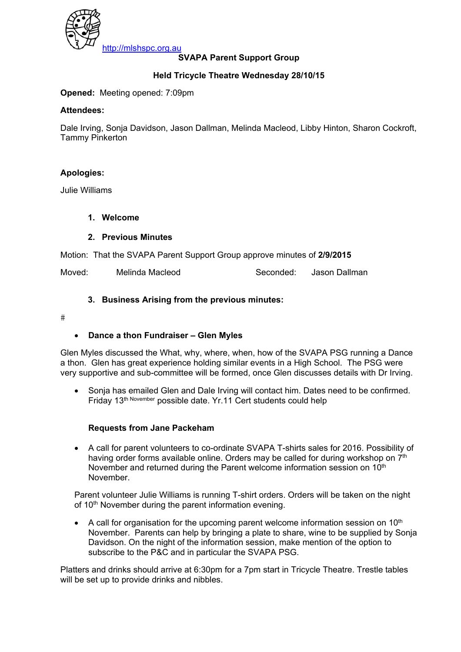

# **SVAPA Parent Support Group**

## **Held Tricycle Theatre Wednesday 28/10/15**

#### **Opened:** Meeting opened: 7:09pm

#### **Attendees:**

Dale Irving, Sonja Davidson, Jason Dallman, Melinda Macleod, Libby Hinton, Sharon Cockroft, Tammy Pinkerton

### **Apologies:**

Julie Williams

#### **1. Welcome**

#### **2. Previous Minutes**

Motion: That the SVAPA Parent Support Group approve minutes of **2/9/2015** 

Moved: Melinda Macleod Seconded: Jason Dallman

#### **3. Business Arising from the previous minutes:**

 $#$ 

#### • **Dance a thon Fundraiser – Glen Myles**

Glen Myles discussed the What, why, where, when, how of the SVAPA PSG running a Dance a thon. Glen has great experience holding similar events in a High School. The PSG were very supportive and sub-committee will be formed, once Glen discusses details with Dr Irving.

• Sonja has emailed Glen and Dale Irving will contact him. Dates need to be confirmed. Friday 13th November possible date. Yr.11 Cert students could help

#### **Requests from Jane Packeham**

• A call for parent volunteers to co-ordinate SVAPA T-shirts sales for 2016. Possibility of having order forms available online. Orders may be called for during workshop on 7th November and returned during the Parent welcome information session on  $10<sup>th</sup>$ November.

Parent volunteer Julie Williams is running T-shirt orders. Orders will be taken on the night of 10<sup>th</sup> November during the parent information evening.

• A call for organisation for the upcoming parent welcome information session on  $10<sup>th</sup>$ November. Parents can help by bringing a plate to share, wine to be supplied by Sonja Davidson. On the night of the information session, make mention of the option to subscribe to the P&C and in particular the SVAPA PSG.

Platters and drinks should arrive at 6:30pm for a 7pm start in Tricycle Theatre. Trestle tables will be set up to provide drinks and nibbles.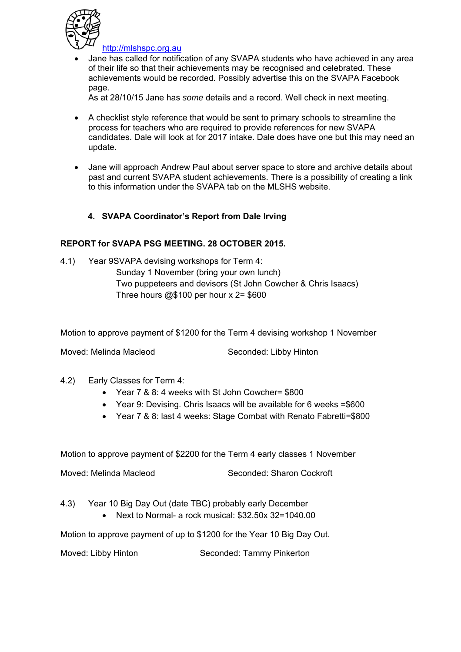

http://mlshspc.org.au

• Jane has called for notification of any SVAPA students who have achieved in any area of their life so that their achievements may be recognised and celebrated. These achievements would be recorded. Possibly advertise this on the SVAPA Facebook page.

As at 28/10/15 Jane has *some* details and a record. Well check in next meeting.

- A checklist style reference that would be sent to primary schools to streamline the process for teachers who are required to provide references for new SVAPA candidates. Dale will look at for 2017 intake. Dale does have one but this may need an update.
- Jane will approach Andrew Paul about server space to store and archive details about past and current SVAPA student achievements. There is a possibility of creating a link to this information under the SVAPA tab on the MLSHS website.

# **4. SVAPA Coordinator's Report from Dale Irving**

# **REPORT for SVAPA PSG MEETING. 28 OCTOBER 2015.**

4.1) Year 9SVAPA devising workshops for Term 4: Sunday 1 November (bring your own lunch) Two puppeteers and devisors (St John Cowcher & Chris Isaacs) Three hours  $@$100$  per hour x  $2= $600$ 

Motion to approve payment of \$1200 for the Term 4 devising workshop 1 November

Moved: Melinda Macleod Seconded: Libby Hinton

- 4.2) Early Classes for Term 4:
	- Year 7 & 8: 4 weeks with St John Cowcher= \$800
	- Year 9: Devising. Chris Isaacs will be available for 6 weeks =\$600
	- Year 7 & 8: last 4 weeks: Stage Combat with Renato Fabretti=\$800

Motion to approve payment of \$2200 for the Term 4 early classes 1 November

Moved: Melinda Macleod Seconded: Sharon Cockroft

- 4.3) Year 10 Big Day Out (date TBC) probably early December
	- Next to Normal- a rock musical: \$32.50x 32=1040.00

Motion to approve payment of up to \$1200 for the Year 10 Big Day Out.

Moved: Libby Hinton Seconded: Tammy Pinkerton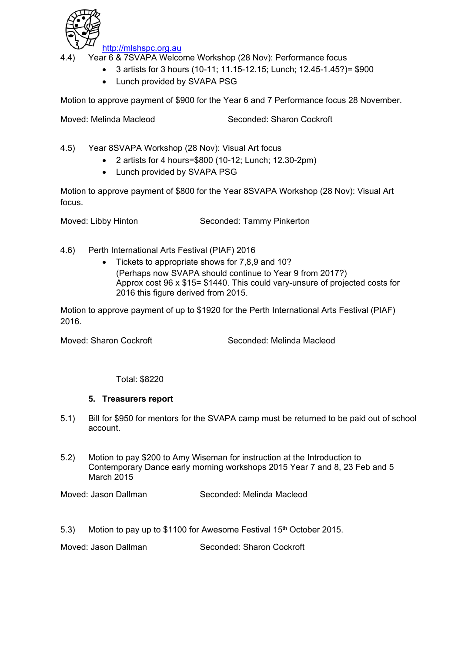

http://mlshspc.org.au

4.4) Year 6 & 7SVAPA Welcome Workshop (28 Nov): Performance focus

- 3 artists for 3 hours (10-11; 11.15-12.15; Lunch; 12.45-1.45?)= \$900
	- Lunch provided by SVAPA PSG

Motion to approve payment of \$900 for the Year 6 and 7 Performance focus 28 November.

Moved: Melinda Macleod Seconded: Sharon Cockroft

4.5) Year 8SVAPA Workshop (28 Nov): Visual Art focus

- 2 artists for 4 hours=\$800 (10-12; Lunch; 12.30-2pm)
- Lunch provided by SVAPA PSG

Motion to approve payment of \$800 for the Year 8SVAPA Workshop (28 Nov): Visual Art focus.

Moved: Libby Hinton Seconded: Tammy Pinkerton

- 4.6) Perth International Arts Festival (PIAF) 2016
	- Tickets to appropriate shows for 7,8,9 and 10? (Perhaps now SVAPA should continue to Year 9 from 2017?) Approx cost 96 x \$15= \$1440. This could vary-unsure of projected costs for 2016 this figure derived from 2015.

Motion to approve payment of up to \$1920 for the Perth International Arts Festival (PIAF) 2016.

Moved: Sharon Cockroft Seconded: Melinda Macleod

Total: \$8220

#### **5. Treasurers report**

- 5.1) Bill for \$950 for mentors for the SVAPA camp must be returned to be paid out of school account.
- 5.2) Motion to pay \$200 to Amy Wiseman for instruction at the Introduction to Contemporary Dance early morning workshops 2015 Year 7 and 8, 23 Feb and 5 March 2015

Moved: Jason Dallman Seconded: Melinda Macleod

5.3) Motion to pay up to \$1100 for Awesome Festival 15<sup>th</sup> October 2015.

Moved: Jason Dallman Seconded: Sharon Cockroft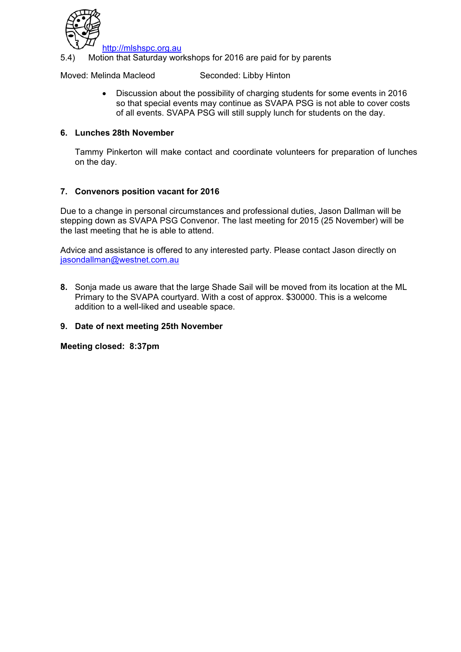

http://mlshspc.org.au

5.4) Motion that Saturday workshops for 2016 are paid for by parents

Moved: Melinda Macleod Seconded: Libby Hinton

• Discussion about the possibility of charging students for some events in 2016 so that special events may continue as SVAPA PSG is not able to cover costs of all events. SVAPA PSG will still supply lunch for students on the day.

#### **6. Lunches 28th November**

Tammy Pinkerton will make contact and coordinate volunteers for preparation of lunches on the day.

### **7. Convenors position vacant for 2016**

Due to a change in personal circumstances and professional duties, Jason Dallman will be stepping down as SVAPA PSG Convenor. The last meeting for 2015 (25 November) will be the last meeting that he is able to attend.

Advice and assistance is offered to any interested party. Please contact Jason directly on jasondallman@westnet.com.au

**8.** Sonja made us aware that the large Shade Sail will be moved from its location at the ML Primary to the SVAPA courtyard. With a cost of approx. \$30000. This is a welcome addition to a well-liked and useable space.

#### **9. Date of next meeting 25th November**

**Meeting closed: 8:37pm**